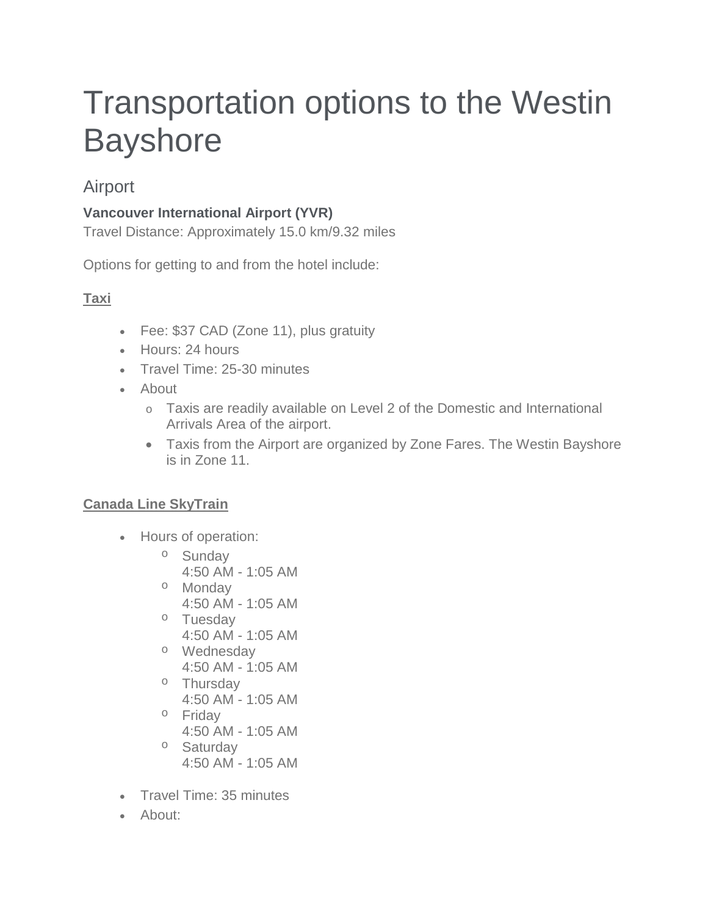# Transportation options to the Westin **Bayshore**

## Airport

### **Vancouver International Airport (YVR)**

Travel Distance: Approximately 15.0 km/9.32 miles

Options for getting to and from the hotel include:

## **Taxi**

- Fee: \$37 CAD (Zone 11), plus gratuity
- Hours: 24 hours
- Travel Time: 25-30 minutes
- About
	- o Taxis are readily available on Level 2 of the Domestic and International Arrivals Area of the airport.
	- Taxis from the Airport are organized by Zone Fares. The Westin Bayshore is in Zone 11.

#### **Canada Line SkyTrain**

- Hours of operation:
	- o Sunday
		- 4:50 AM 1:05 AM
	- o Monday 4:50 AM - 1:05 AM
	- o Tuesday 4:50 AM - 1:05 AM
	- o Wednesday 4:50 AM - 1:05 AM
	- o Thursday
		- 4:50 AM 1:05 AM
	- o Friday
		- 4:50 AM 1:05 AM
	- o Saturday 4:50 AM - 1:05 AM
- Travel Time: 35 minutes
- About: